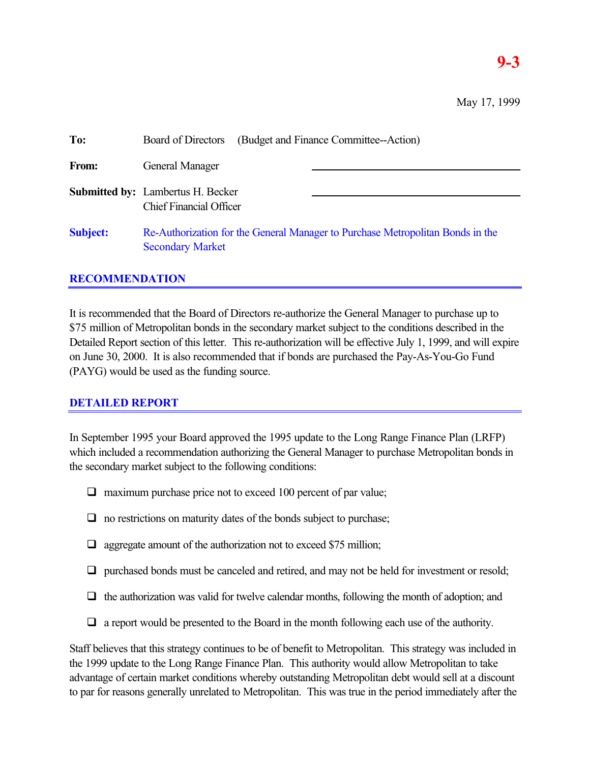## **9-3**

| To:             | (Budget and Finance Committee--Action)<br>Board of Directors                                              |
|-----------------|-----------------------------------------------------------------------------------------------------------|
| From:           | General Manager                                                                                           |
|                 | <b>Submitted by:</b> Lambertus H. Becker<br><b>Chief Financial Officer</b>                                |
| <b>Subject:</b> | Re-Authorization for the General Manager to Purchase Metropolitan Bonds in the<br><b>Secondary Market</b> |

## **RECOMMENDATION**

It is recommended that the Board of Directors re-authorize the General Manager to purchase up to \$75 million of Metropolitan bonds in the secondary market subject to the conditions described in the Detailed Report section of this letter. This re-authorization will be effective July 1, 1999, and will expire on June 30, 2000. It is also recommended that if bonds are purchased the Pay-As-You-Go Fund (PAYG) would be used as the funding source.

## **DETAILED REPORT**

In September 1995 your Board approved the 1995 update to the Long Range Finance Plan (LRFP) which included a recommendation authorizing the General Manager to purchase Metropolitan bonds in the secondary market subject to the following conditions:

- $\Box$  maximum purchase price not to exceed 100 percent of par value;
- $\Box$  no restrictions on maturity dates of the bonds subject to purchase;
- $\Box$  aggregate amount of the authorization not to exceed \$75 million;
- $\Box$  purchased bonds must be canceled and retired, and may not be held for investment or resold;
- $\Box$  the authorization was valid for twelve calendar months, following the month of adoption; and
- $\Box$  a report would be presented to the Board in the month following each use of the authority.

Staff believes that this strategy continues to be of benefit to Metropolitan. This strategy was included in the 1999 update to the Long Range Finance Plan. This authority would allow Metropolitan to take advantage of certain market conditions whereby outstanding Metropolitan debt would sell at a discount to par for reasons generally unrelated to Metropolitan. This was true in the period immediately after the